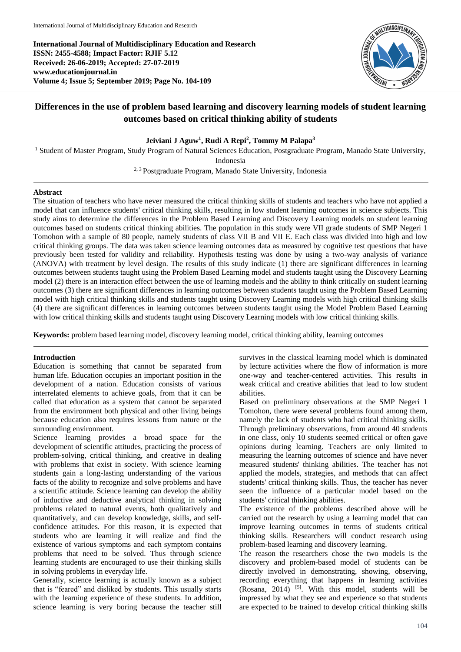**International Journal of Multidisciplinary Education and Research ISSN: 2455-4588; Impact Factor: RJIF 5.12 Received: 26-06-2019; Accepted: 27-07-2019 www.educationjournal.in Volume 4; Issue 5; September 2019; Page No. 104-109**



# **Differences in the use of problem based learning and discovery learning models of student learning outcomes based on critical thinking ability of students**

# **Jeiviani J Aguw<sup>1</sup> , Rudi A Repi<sup>2</sup> , Tommy M Palapa<sup>3</sup>**

<sup>1</sup> Student of Master Program, Study Program of Natural Sciences Education, Postgraduate Program, Manado State University,

Indonesia

2, 3 Postgraduate Program, Manado State University, Indonesia

# **Abstract**

The situation of teachers who have never measured the critical thinking skills of students and teachers who have not applied a model that can influence students' critical thinking skills, resulting in low student learning outcomes in science subjects. This study aims to determine the differences in the Problem Based Learning and Discovery Learning models on student learning outcomes based on students critical thinking abilities. The population in this study were VII grade students of SMP Negeri 1 Tomohon with a sample of 80 people, namely students of class VII B and VII E. Each class was divided into high and low critical thinking groups. The data was taken science learning outcomes data as measured by cognitive test questions that have previously been tested for validity and reliability. Hypothesis testing was done by using a two-way analysis of variance (ANOVA) with treatment by level design. The results of this study indicate (1) there are significant differences in learning outcomes between students taught using the Problem Based Learning model and students taught using the Discovery Learning model (2) there is an interaction effect between the use of learning models and the ability to think critically on student learning outcomes (3) there are significant differences in learning outcomes between students taught using the Problem Based Learning model with high critical thinking skills and students taught using Discovery Learning models with high critical thinking skills (4) there are significant differences in learning outcomes between students taught using the Model Problem Based Learning with low critical thinking skills and students taught using Discovery Learning models with low critical thinking skills.

**Keywords:** problem based learning model, discovery learning model, critical thinking ability, learning outcomes

## **Introduction**

Education is something that cannot be separated from human life. Education occupies an important position in the development of a nation. Education consists of various interrelated elements to achieve goals, from that it can be called that education as a system that cannot be separated from the environment both physical and other living beings because education also requires lessons from nature or the surrounding environment.

Science learning provides a broad space for the development of scientific attitudes, practicing the process of problem-solving, critical thinking, and creative in dealing with problems that exist in society. With science learning students gain a long-lasting understanding of the various facts of the ability to recognize and solve problems and have a scientific attitude. Science learning can develop the ability of inductive and deductive analytical thinking in solving problems related to natural events, both qualitatively and quantitatively, and can develop knowledge, skills, and selfconfidence attitudes. For this reason, it is expected that students who are learning it will realize and find the existence of various symptoms and each symptom contains problems that need to be solved. Thus through science learning students are encouraged to use their thinking skills in solving problems in everyday life.

Generally, science learning is actually known as a subject that is "feared" and disliked by students. This usually starts with the learning experience of these students. In addition, science learning is very boring because the teacher still

survives in the classical learning model which is dominated by lecture activities where the flow of information is more one-way and teacher-centered activities. This results in weak critical and creative abilities that lead to low student abilities.

Based on preliminary observations at the SMP Negeri 1 Tomohon, there were several problems found among them, namely the lack of students who had critical thinking skills. Through preliminary observations, from around 40 students in one class, only 10 students seemed critical or often gave opinions during learning. Teachers are only limited to measuring the learning outcomes of science and have never measured students' thinking abilities. The teacher has not applied the models, strategies, and methods that can affect students' critical thinking skills. Thus, the teacher has never seen the influence of a particular model based on the students' critical thinking abilities.

The existence of the problems described above will be carried out the research by using a learning model that can improve learning outcomes in terms of students critical thinking skills. Researchers will conduct research using problem-based learning and discovery learning.

The reason the researchers chose the two models is the discovery and problem-based model of students can be directly involved in demonstrating, showing, observing, recording everything that happens in learning activities (Rosana, 2014)  $[5]$ . With this model, students will be impressed by what they see and experience so that students are expected to be trained to develop critical thinking skills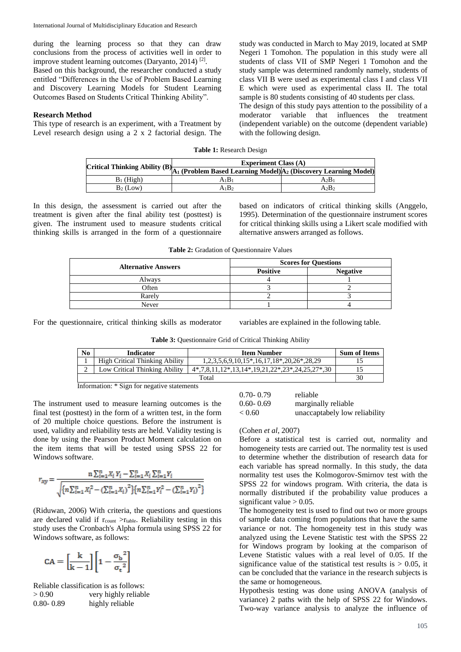during the learning process so that they can draw conclusions from the process of activities well in order to improve student learning outcomes (Daryanto, 2014)<sup>[2]</sup>.

Based on this background, the researcher conducted a study entitled "Differences in the Use of Problem Based Learning and Discovery Learning Models for Student Learning Outcomes Based on Students Critical Thinking Ability".

### **Research Method**

This type of research is an experiment, with a Treatment by Level research design using a 2 x 2 factorial design. The

study was conducted in March to May 2019, located at SMP Negeri 1 Tomohon. The population in this study were all students of class VII of SMP Negeri 1 Tomohon and the study sample was determined randomly namely, students of class VII B were used as experimental class I and class VII E which were used as experimental class II. The total sample is 80 students consisting of 40 students per class.

The design of this study pays attention to the possibility of a moderator variable that influences the treatment (independent variable) on the outcome (dependent variable) with the following design.

## **Table 1:** Research Design

|              | <b>Experiment Class (A)</b><br>[Critical Thinking Ability (B) $\boxed{A_1$ (Problem Based Learning Model) $A_2$ (Discovery Learning Model) <sup>1</sup> |      |  |
|--------------|---------------------------------------------------------------------------------------------------------------------------------------------------------|------|--|
|              |                                                                                                                                                         |      |  |
| $B_1$ (High) | A1B1                                                                                                                                                    | A2B1 |  |
| $B_2$ (Low)  | A1B2                                                                                                                                                    | A2B2 |  |

In this design, the assessment is carried out after the treatment is given after the final ability test (posttest) is given. The instrument used to measure students critical thinking skills is arranged in the form of a questionnaire based on indicators of critical thinking skills (Anggelo, 1995). Determination of the questionnaire instrument scores for critical thinking skills using a Likert scale modified with alternative answers arranged as follows.

**Table 2:** Gradation of Questionnaire Values

|                            | <b>Scores for Questions</b> |                 |  |
|----------------------------|-----------------------------|-----------------|--|
| <b>Alternative Answers</b> | <b>Positive</b>             | <b>Negative</b> |  |
| Always                     |                             |                 |  |
| Often                      |                             |                 |  |
| Rarely                     |                             |                 |  |
| Never                      |                             |                 |  |

For the questionnaire, critical thinking skills as moderator variables are explained in the following table.

**Table 3:** Questionnaire Grid of Critical Thinking Ability

| No    | <b>Indicator</b>                      | <b>Item Number</b>                          | <b>Sum of Items</b> |
|-------|---------------------------------------|---------------------------------------------|---------------------|
|       | <b>High Critical Thinking Ability</b> | $1,2,3,5,6,9,10,15*,16,17,18*,20,26*,28,29$ |                     |
|       | Low Critical Thinking Ability         | 4,7,8,11,12,13,14,19,21,22,23,24,25,27,30   |                     |
| Total |                                       |                                             | 30                  |

Information: \* Sign for negative statements

The instrument used to measure learning outcomes is the final test (posttest) in the form of a written test, in the form of 20 multiple choice questions. Before the instrument is used, validity and reliability tests are held. Validity testing is done by using the Pearson Product Moment calculation on the item items that will be tested using SPSS 22 for Windows software.

$$
r_{xy} = \frac{\mathbf{n} \sum_{i=1}^{n} X_i Y_i - \sum_{i=1}^{n} X_i \sum_{i=1}^{n} Y_i}{\sqrt{\{n \sum_{i=1}^{n} X_i^2 - (\sum_{i=1}^{n} X_i)^2\} \{n \sum_{i=1}^{n} Y_i^2 - (\sum_{i=1}^{n} Y_i)^2\}}}
$$

(Riduwan, 2006) With criteria, the questions and questions are declared valid if  $r_{\text{count}} > r_{\text{table}}$ . Reliability testing in this study uses the Cronbach's Alpha formula using SPSS 22 for Windows software, as follows:

$$
CA = \left[\frac{k}{k-1}\right] \left[1 - \frac{{\sigma_b}^2}{\sigma_t^2}\right]
$$

Reliable classification is as follows: > 0.90 very highly reliable 0.80- 0.89 highly reliable

| $0.70 - 0.79$ | reliable                      |
|---------------|-------------------------------|
| $0.60 - 0.69$ | marginally reliable           |
| < 0.60        | unaccaptabely low reliability |

#### (Cohen *et al*, 2007)

Before a statistical test is carried out, normality and homogeneity tests are carried out. The normality test is used to determine whether the distribution of research data for each variable has spread normally. In this study, the data normality test uses the Kolmogorov-Smirnov test with the SPSS 22 for windows program. With criteria, the data is normally distributed if the probability value produces a significant value  $> 0.05$ .

The homogeneity test is used to find out two or more groups of sample data coming from populations that have the same variance or not. The homogeneity test in this study was analyzed using the Levene Statistic test with the SPSS 22 for Windows program by looking at the comparison of Levene Statistic values with a real level of 0.05. If the significance value of the statistical test results is  $> 0.05$ , it can be concluded that the variance in the research subjects is the same or homogeneous.

Hypothesis testing was done using ANOVA (analysis of variance) 2 paths with the help of SPSS 22 for Windows. Two-way variance analysis to analyze the influence of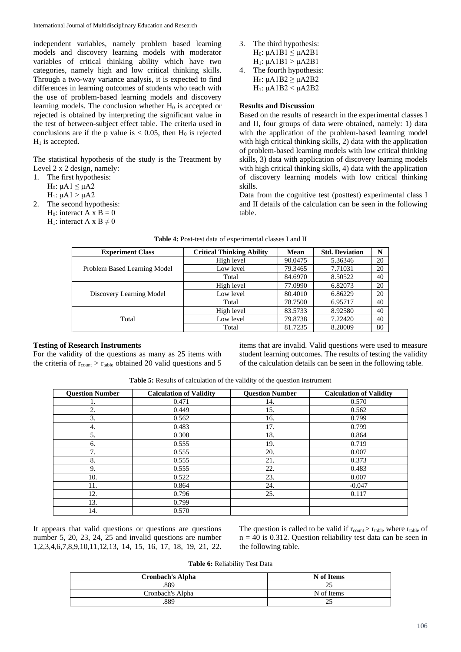independent variables, namely problem based learning models and discovery learning models with moderator variables of critical thinking ability which have two categories, namely high and low critical thinking skills. Through a two-way variance analysis, it is expected to find differences in learning outcomes of students who teach with the use of problem-based learning models and discovery learning models. The conclusion whether  $H_0$  is accepted or rejected is obtained by interpreting the significant value in the test of between-subject effect table. The criteria used in conclusions are if the p value is  $< 0.05$ , then H<sub>0</sub> is rejected  $H_1$  is accepted.

The statistical hypothesis of the study is the Treatment by Level 2 x 2 design, namely:

- 1. The first hypothesis:
	- H<sub>0</sub>:  $μA1 ≤ μA2$
	- H<sub>1</sub>:  $μA1 > μA2$
- 2. The second hypothesis: H<sub>0</sub>: interact A x B = 0 H<sub>1</sub>: interact A x B  $\neq$  0
- 3. The third hypothesis: H<sub>0</sub>:  $\mu$ A1B1  $\leq$   $\mu$ A2B1  $H_1$ : μA1B1 > μA2B1
- 4. The fourth hypothesis: H<sub>0</sub>:  $\mu$ A1B2  $\geq \mu$ A2B2 H<sub>1</sub>:  $\mu$ A1B2 <  $\mu$ A2B2

# **Results and Discussion**

Based on the results of research in the experimental classes I and II, four groups of data were obtained, namely: 1) data with the application of the problem-based learning model with high critical thinking skills, 2) data with the application of problem-based learning models with low critical thinking skills, 3) data with application of discovery learning models with high critical thinking skills, 4) data with the application of discovery learning models with low critical thinking skills.

Data from the cognitive test (posttest) experimental class I and II details of the calculation can be seen in the following table.

| <b>Experiment Class</b>      | <b>Critical Thinking Ability</b> | Mean    | <b>Std. Deviation</b> | N  |
|------------------------------|----------------------------------|---------|-----------------------|----|
|                              | High level                       | 90.0475 | 5.36346               | 20 |
| Problem Based Learning Model | Low level                        | 79.3465 | 7.71031               | 20 |
|                              | Total                            | 84.6970 | 8.50522               | 40 |
|                              | High level                       | 77.0990 | 6.82073               | 20 |
| Discovery Learning Model     | Low level                        | 80.4010 | 6.86229               | 20 |
|                              | Total                            | 78.7500 | 6.95717               | 40 |
|                              | High level                       | 83.5733 | 8.92580               | 40 |
| Total                        | Low level                        | 79.8738 | 7.22420               | 40 |
|                              | Total                            | 81.7235 | 8.28009               | 80 |

#### **Table 4:** Post-test data of experimental classes I and II

## **Testing of Research Instruments**

For the validity of the questions as many as 25 items with the criteria of  $r_{\text{count}} > r_{\text{table}}$  obtained 20 valid questions and 5

items that are invalid. Valid questions were used to measure student learning outcomes. The results of testing the validity of the calculation details can be seen in the following table.

| Table 5: Results of calculation of the validity of the question instrument |  |
|----------------------------------------------------------------------------|--|
|----------------------------------------------------------------------------|--|

| <b>Ouestion Number</b> | <b>Calculation of Validity</b> | <b>Question Number</b> | <b>Calculation of Validity</b> |
|------------------------|--------------------------------|------------------------|--------------------------------|
| 1.                     | 0.471                          | 14.                    | 0.570                          |
| 2.                     | 0.449                          | 15.                    | 0.562                          |
| 3.                     | 0.562                          | 16.                    | 0.799                          |
| 4.                     | 0.483                          | 17.                    | 0.799                          |
| 5.                     | 0.308                          | 18.                    | 0.864                          |
| 6.                     | 0.555                          | 19.                    | 0.719                          |
| 7.                     | 0.555                          | 20.                    | 0.007                          |
| 8.                     | 0.555                          | 21.                    | 0.373                          |
| 9.                     | 0.555                          | 22.                    | 0.483                          |
| 10.                    | 0.522                          | 23.                    | 0.007                          |
| 11.                    | 0.864                          | 24.                    | $-0.047$                       |
| 12.                    | 0.796                          | 25.                    | 0.117                          |
| 13.                    | 0.799                          |                        |                                |
| 14.                    | 0.570                          |                        |                                |

It appears that valid questions or questions are questions number 5, 20, 23, 24, 25 and invalid questions are number 1,2,3,4,6,7,8,9,10,11,12,13, 14, 15, 16, 17, 18, 19, 21, 22. The question is called to be valid if  $r_{\text{count}} > r_{\text{table}}$  where  $r_{\text{table}}$  of  $n = 40$  is 0.312. Question reliability test data can be seen in the following table.

**Table 6:** Reliability Test Data

| <b>Cronbach's Alpha</b> | N of Items |
|-------------------------|------------|
| .889                    | ت          |
| Cronbach's Alpha        | N of Items |
| .889                    | ت          |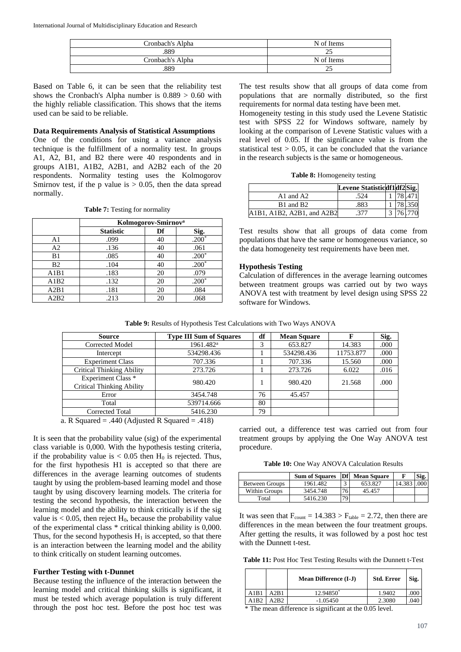| Cronbach's Alpha | N of Items |
|------------------|------------|
| .889             | ت          |
| Cronbach's Alpha | N of Items |
| .889             | ت          |

Based on Table 6, it can be seen that the reliability test shows the Cronbach's Alpha number is  $0.889 > 0.60$  with the highly reliable classification. This shows that the items used can be said to be reliable.

# **Data Requirements Analysis of Statistical Assumptions**

One of the conditions for using a variance analysis technique is the fulfillment of a normality test. In groups A1, A2, B1, and B2 there were 40 respondents and in groups A1B1, A1B2, A2B1, and A2B2 each of the 20 respondents. Normality testing uses the Kolmogorov Smirnov test, if the p value is  $> 0.05$ , then the data spread normally.

**Table 7:** Testing for normality

|                | Kolmogorov-Smirnov <sup>a</sup> |    |         |
|----------------|---------------------------------|----|---------|
|                | <b>Statistic</b>                | Df | Sig.    |
| A1             | .099                            | 40 | $.200*$ |
| A2             | .136                            | 40 | .061    |
| B1             | .085                            | 40 | $.200*$ |
| B <sub>2</sub> | .104                            | 40 | $.200*$ |
| A1B1           | .183                            | 20 | .079    |
| A1B2           | .132                            | 20 | $.200*$ |
| A2B1           | .181                            | 20 | .084    |
| A2B2           | .213                            | 20 | .068    |

The test results show that all groups of data come from populations that are normally distributed, so the first requirements for normal data testing have been met.

Homogeneity testing in this study used the Levene Statistic test with SPSS 22 for Windows software, namely by looking at the comparison of Levene Statistic values with a real level of 0.05. If the significance value is from the statistical test  $> 0.05$ , it can be concluded that the variance in the research subjects is the same or homogeneous.

|                                   | Levene Statisticdf1df2 Sig. |  |          |
|-----------------------------------|-----------------------------|--|----------|
| A <sub>1</sub> and A <sub>2</sub> | .524                        |  | 1 78 471 |
| B1 and B2                         | .883                        |  | 1 78.350 |
| A1B1, A1B2, A2B1, and A2B2        | .377                        |  | 3 76 770 |

Test results show that all groups of data come from populations that have the same or homogeneous variance, so the data homogeneity test requirements have been met.

#### **Hypothesis Testing**

Calculation of differences in the average learning outcomes between treatment groups was carried out by two ways ANOVA test with treatment by level design using SPSS 22 software for Windows.

**Table 9:** Results of Hypothesis Test Calculations with Two Ways ANOVA

| <b>Source</b>                                                                                         | <b>Type III Sum of Squares</b> | df | <b>Mean Square</b> | F         | Sig. |
|-------------------------------------------------------------------------------------------------------|--------------------------------|----|--------------------|-----------|------|
| Corrected Model                                                                                       | 1961.482 <sup>a</sup>          | 3  | 653.827            | 14.383    | .000 |
| Intercept                                                                                             | 534298.436                     |    | 534298.436         | 11753.877 | .000 |
| <b>Experiment Class</b>                                                                               | 707.336                        |    | 707.336            | 15.560    | .000 |
| <b>Critical Thinking Ability</b>                                                                      | 273.726                        |    | 273.726            | 6.022     | .016 |
| <b>Experiment Class</b> *<br><b>Critical Thinking Ability</b>                                         | 980.420                        |    | 980.420            | 21.568    | .000 |
| Error                                                                                                 | 3454.748                       | 76 | 45.457             |           |      |
| Total                                                                                                 | 539714.666                     | 80 |                    |           |      |
| Corrected Total                                                                                       | 5416.230                       | 79 |                    |           |      |
| $\frac{1}{1}$ $\frac{1}{10}$ $\frac{1}{10}$ $\frac{1}{10}$ $\frac{1}{10}$<br>$\cdots$<br>$\mathbf{a}$ | 1.440                          |    |                    |           |      |

a. R Squared  $= .440$  (Adjusted R Squared  $= .418$ )

It is seen that the probability value (sig) of the experimental class variable is 0,000. With the hypothesis testing criteria, if the probability value is  $< 0.05$  then H<sub>0</sub> is rejected. Thus, for the first hypothesis H1 is accepted so that there are differences in the average learning outcomes of students taught by using the problem-based learning model and those taught by using discovery learning models. The criteria for testing the second hypothesis, the interaction between the learning model and the ability to think critically is if the sig value is  $< 0.05$ , then reject H<sub>0</sub>, because the probability value of the experimental class \* critical thinking ability is 0,000. Thus, for the second hypothesis  $H_1$  is accepted, so that there is an interaction between the learning model and the ability to think critically on student learning outcomes.

# **Further Testing with t-Dunnet**

Because testing the influence of the interaction between the learning model and critical thinking skills is significant, it must be tested which average population is truly different through the post hoc test. Before the post hoc test was carried out, a difference test was carried out from four treatment groups by applying the One Way ANOVA test procedure.

**Table 10:** One Way ANOVA Calculation Results

|                       | <b>Sum of Squares</b> | <b>Df</b> | <b>Mean Square</b> |        | Sig. |
|-----------------------|-----------------------|-----------|--------------------|--------|------|
| <b>Between Groups</b> | 1961.482              | $\sim$    | 653.827            | 14.38? |      |
| <b>Within Groups</b>  | 3454.748              | 76        | 45.457             |        |      |
| Total                 | 5416.230              | 79        |                    |        |      |

It was seen that  $F_{\text{count}} = 14.383 > F_{\text{table}} = 2.72$ , then there are differences in the mean between the four treatment groups. After getting the results, it was followed by a post hoc test with the Dunnett t-test.

**Table 11:** Post Hoc Test Testing Results with the Dunnett t-Test

|      |       | <b>Mean Difference (I-J)</b> | Std. Error | Sig. |
|------|-------|------------------------------|------------|------|
| A1B1 | A2B1  | 12.94850*                    | 1.9402     | .000 |
| A1B2 | A2B2. | $-1.05450$                   | 2.3080     | .04C |

\* The mean difference is significant at the 0.05 level.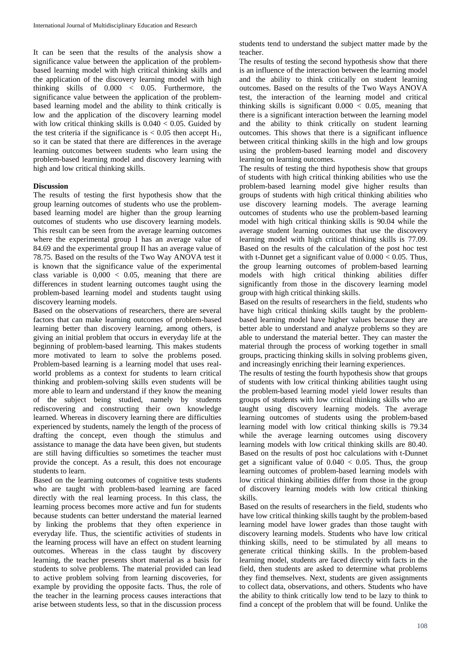It can be seen that the results of the analysis show a significance value between the application of the problembased learning model with high critical thinking skills and the application of the discovery learning model with high thinking skills of 0.000 < 0.05. Furthermore, the significance value between the application of the problembased learning model and the ability to think critically is low and the application of the discovery learning model with low critical thinking skills is  $0.040 < 0.05$ . Guided by the test criteria if the significance is  $< 0.05$  then accept  $H_1$ , so it can be stated that there are differences in the average learning outcomes between students who learn using the problem-based learning model and discovery learning with high and low critical thinking skills.

# **Discussion**

The results of testing the first hypothesis show that the group learning outcomes of students who use the problembased learning model are higher than the group learning outcomes of students who use discovery learning models. This result can be seen from the average learning outcomes where the experimental group I has an average value of 84.69 and the experimental group II has an average value of 78.75. Based on the results of the Two Way ANOVA test it is known that the significance value of the experimental class variable is  $0,000 < 0.05$ , meaning that there are differences in student learning outcomes taught using the problem-based learning model and students taught using discovery learning models.

Based on the observations of researchers, there are several factors that can make learning outcomes of problem-based learning better than discovery learning, among others, is giving an initial problem that occurs in everyday life at the beginning of problem-based learning. This makes students more motivated to learn to solve the problems posed. Problem-based learning is a learning model that uses realworld problems as a context for students to learn critical thinking and problem-solving skills even students will be more able to learn and understand if they know the meaning of the subject being studied, namely by students rediscovering and constructing their own knowledge learned. Whereas in discovery learning there are difficulties experienced by students, namely the length of the process of drafting the concept, even though the stimulus and assistance to manage the data have been given, but students are still having difficulties so sometimes the teacher must provide the concept. As a result, this does not encourage students to learn.

Based on the learning outcomes of cognitive tests students who are taught with problem-based learning are faced directly with the real learning process. In this class, the learning process becomes more active and fun for students because students can better understand the material learned by linking the problems that they often experience in everyday life. Thus, the scientific activities of students in the learning process will have an effect on student learning outcomes. Whereas in the class taught by discovery learning, the teacher presents short material as a basis for students to solve problems. The material provided can lead to active problem solving from learning discoveries, for example by providing the opposite facts. Thus, the role of the teacher in the learning process causes interactions that arise between students less, so that in the discussion process

students tend to understand the subject matter made by the teacher.

The results of testing the second hypothesis show that there is an influence of the interaction between the learning model and the ability to think critically on student learning outcomes. Based on the results of the Two Ways ANOVA test, the interaction of the learning model and critical thinking skills is significant  $0.000 < 0.05$ , meaning that there is a significant interaction between the learning model and the ability to think critically on student learning outcomes. This shows that there is a significant influence between critical thinking skills in the high and low groups using the problem-based learning model and discovery learning on learning outcomes.

The results of testing the third hypothesis show that groups of students with high critical thinking abilities who use the problem-based learning model give higher results than groups of students with high critical thinking abilities who use discovery learning models. The average learning outcomes of students who use the problem-based learning model with high critical thinking skills is 90.04 while the average student learning outcomes that use the discovery learning model with high critical thinking skills is 77.09. Based on the results of the calculation of the post hoc test with t-Dunnet get a significant value of  $0.000 < 0.05$ . Thus, the group learning outcomes of problem-based learning models with high critical thinking abilities differ significantly from those in the discovery learning model group with high critical thinking skills.

Based on the results of researchers in the field, students who have high critical thinking skills taught by the problembased learning model have higher values because they are better able to understand and analyze problems so they are able to understand the material better. They can master the material through the process of working together in small groups, practicing thinking skills in solving problems given, and increasingly enriching their learning experiences.

The results of testing the fourth hypothesis show that groups of students with low critical thinking abilities taught using the problem-based learning model yield lower results than groups of students with low critical thinking skills who are taught using discovery learning models. The average learning outcomes of students using the problem-based learning model with low critical thinking skills is 79.34 while the average learning outcomes using discovery learning models with low critical thinking skills are 80.40. Based on the results of post hoc calculations with t-Dunnet get a significant value of  $0.040 < 0.05$ . Thus, the group learning outcomes of problem-based learning models with low critical thinking abilities differ from those in the group of discovery learning models with low critical thinking skills.

Based on the results of researchers in the field, students who have low critical thinking skills taught by the problem-based learning model have lower grades than those taught with discovery learning models. Students who have low critical thinking skills, need to be stimulated by all means to generate critical thinking skills. In the problem-based learning model, students are faced directly with facts in the field, then students are asked to determine what problems they find themselves. Next, students are given assignments to collect data, observations, and others. Students who have the ability to think critically low tend to be lazy to think to find a concept of the problem that will be found. Unlike the